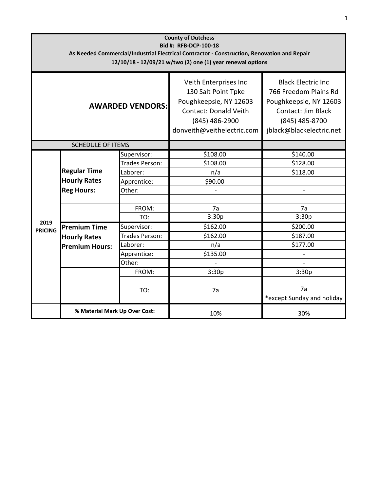| <b>County of Dutchess</b><br>Bid #: RFB-DCP-100-18<br>As Needed Commercial/Industrial Electrical Contractor - Construction, Renovation and Repair<br>12/10/18 - 12/09/21 w/two (2) one (1) year renewal options |                                                                     |                                                                                    |                                                                                                                                                 |                                                                                                                                                   |  |  |  |
|-----------------------------------------------------------------------------------------------------------------------------------------------------------------------------------------------------------------|---------------------------------------------------------------------|------------------------------------------------------------------------------------|-------------------------------------------------------------------------------------------------------------------------------------------------|---------------------------------------------------------------------------------------------------------------------------------------------------|--|--|--|
| <b>AWARDED VENDORS:</b>                                                                                                                                                                                         |                                                                     |                                                                                    | Veith Enterprises Inc<br>130 Salt Point Tpke<br>Poughkeepsie, NY 12603<br>Contact: Donald Veith<br>(845) 486-2900<br>donveith@veithelectric.com | <b>Black Electric Inc.</b><br>766 Freedom Plains Rd<br>Poughkeepsie, NY 12603<br>Contact: Jim Black<br>(845) 485-8700<br>jblack@blackelectric.net |  |  |  |
| <b>SCHEDULE OF ITEMS</b>                                                                                                                                                                                        |                                                                     |                                                                                    |                                                                                                                                                 |                                                                                                                                                   |  |  |  |
| 2019<br><b>PRICING</b>                                                                                                                                                                                          | <b>Regular Time</b><br><b>Hourly Rates</b><br><b>Reg Hours:</b>     | Supervisor:<br>Trades Person:<br>Laborer:<br>Apprentice:                           | \$108.00<br>\$108.00<br>n/a<br>\$90.00                                                                                                          | \$140.00<br>\$128.00<br>\$118.00                                                                                                                  |  |  |  |
|                                                                                                                                                                                                                 |                                                                     | Other:                                                                             |                                                                                                                                                 |                                                                                                                                                   |  |  |  |
|                                                                                                                                                                                                                 |                                                                     | FROM:<br>TO:                                                                       | 7a<br>3:30p                                                                                                                                     | 7a<br>3:30p                                                                                                                                       |  |  |  |
|                                                                                                                                                                                                                 | <b>Premium Time</b><br><b>Hourly Rates</b><br><b>Premium Hours:</b> | Supervisor:<br>Trades Person:<br>Laborer:<br>Apprentice:<br>Other:<br>FROM:<br>TO: | \$162.00<br>\$162.00<br>n/a<br>\$135.00<br>3:30p<br>7a                                                                                          | \$200.00<br>\$187.00<br>\$177.00<br>$\overline{a}$<br>3:30p<br>7a<br>*except Sunday and holiday                                                   |  |  |  |
|                                                                                                                                                                                                                 | % Material Mark Up Over Cost:                                       |                                                                                    | 10%                                                                                                                                             | 30%                                                                                                                                               |  |  |  |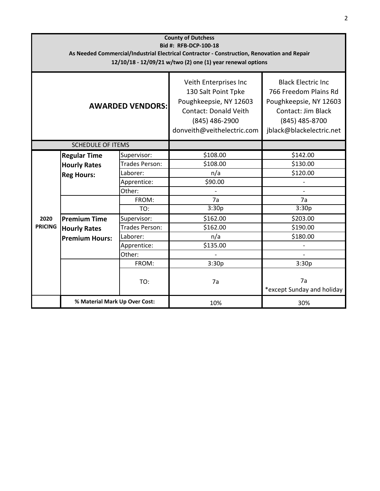| <b>County of Dutchess</b><br>Bid #: RFB-DCP-100-18<br>As Needed Commercial/Industrial Electrical Contractor - Construction, Renovation and Repair<br>12/10/18 - 12/09/21 w/two (2) one (1) year renewal options |                       |                       |                                                                                                                                                 |                                                                                                                                                  |  |  |  |
|-----------------------------------------------------------------------------------------------------------------------------------------------------------------------------------------------------------------|-----------------------|-----------------------|-------------------------------------------------------------------------------------------------------------------------------------------------|--------------------------------------------------------------------------------------------------------------------------------------------------|--|--|--|
| <b>AWARDED VENDORS:</b>                                                                                                                                                                                         |                       |                       | Veith Enterprises Inc<br>130 Salt Point Tpke<br>Poughkeepsie, NY 12603<br>Contact: Donald Veith<br>(845) 486-2900<br>donveith@veithelectric.com | <b>Black Electric Inc</b><br>766 Freedom Plains Rd<br>Poughkeepsie, NY 12603<br>Contact: Jim Black<br>(845) 485-8700<br>jblack@blackelectric.net |  |  |  |
| <b>SCHEDULE OF ITEMS</b>                                                                                                                                                                                        |                       |                       |                                                                                                                                                 |                                                                                                                                                  |  |  |  |
|                                                                                                                                                                                                                 | <b>Regular Time</b>   | Supervisor:           | \$108.00                                                                                                                                        | \$142.00                                                                                                                                         |  |  |  |
|                                                                                                                                                                                                                 | <b>Hourly Rates</b>   | Trades Person:        | \$108.00                                                                                                                                        | \$130.00                                                                                                                                         |  |  |  |
|                                                                                                                                                                                                                 | <b>Reg Hours:</b>     | Laborer:              | n/a                                                                                                                                             | \$120.00                                                                                                                                         |  |  |  |
|                                                                                                                                                                                                                 |                       | Apprentice:           | \$90.00                                                                                                                                         |                                                                                                                                                  |  |  |  |
|                                                                                                                                                                                                                 |                       | Other:                |                                                                                                                                                 |                                                                                                                                                  |  |  |  |
|                                                                                                                                                                                                                 |                       | FROM:                 | 7a                                                                                                                                              | 7a                                                                                                                                               |  |  |  |
|                                                                                                                                                                                                                 |                       | TO:                   | 3:30p                                                                                                                                           | 3:30p                                                                                                                                            |  |  |  |
| 2020<br><b>PRICING</b>                                                                                                                                                                                          | <b>Premium Time</b>   | Supervisor:           | \$162.00                                                                                                                                        | \$203.00                                                                                                                                         |  |  |  |
|                                                                                                                                                                                                                 | <b>Hourly Rates</b>   | <b>Trades Person:</b> | \$162.00                                                                                                                                        | \$190.00                                                                                                                                         |  |  |  |
|                                                                                                                                                                                                                 | <b>Premium Hours:</b> | Laborer:              | n/a                                                                                                                                             | \$180.00                                                                                                                                         |  |  |  |
|                                                                                                                                                                                                                 |                       | Apprentice:           | \$135.00                                                                                                                                        |                                                                                                                                                  |  |  |  |
|                                                                                                                                                                                                                 |                       | Other:                |                                                                                                                                                 |                                                                                                                                                  |  |  |  |
|                                                                                                                                                                                                                 |                       | FROM:                 | 3:30p                                                                                                                                           | 3:30p                                                                                                                                            |  |  |  |
|                                                                                                                                                                                                                 |                       | TO:                   | 7a                                                                                                                                              | 7a<br>*except Sunday and holiday                                                                                                                 |  |  |  |
| % Material Mark Up Over Cost:                                                                                                                                                                                   |                       | 10%                   | 30%                                                                                                                                             |                                                                                                                                                  |  |  |  |